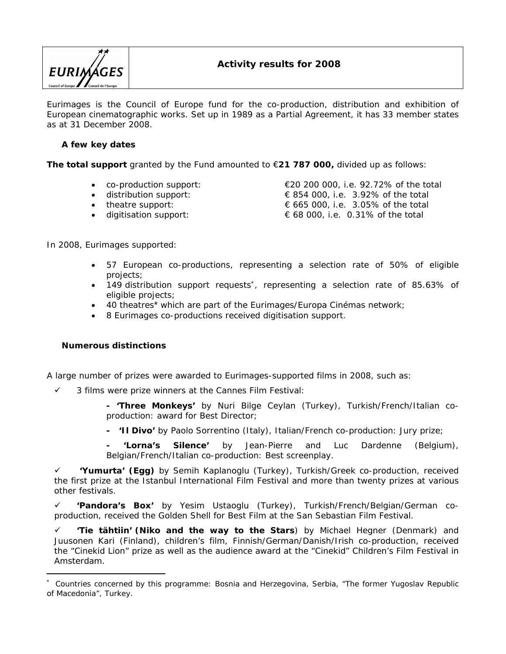

Eurimages is the Council of Europe fund for the co-production, distribution and exhibition of European cinematographic works. Set up in 1989 as a Partial Agreement, it has 33 member states as at 31 December 2008.

# **A few key dates**

**The total support** granted by the Fund amounted to €**21 787 000,** divided up as follows:

- 
- 
- 
- digitisation support:  $\epsilon$  68 000, i.e. 0.31% of the total

• co-production support:  $\epsilon$  €20 200 000, i.e. 92.72% of the total<br>• distribution support:  $\epsilon$  854 000, i.e. 3.92% of the total  $\in$  854 000, i.e. 3.92% of the total • theatre support:  $\epsilon$  665 000, i.e. 3.05% of the total

In 2008, *Eurimages* supported:

- 57 European co-productions, representing a selection rate of 50% of eligible projects;
- <span id="page-0-0"></span> 149 distribution support requests\*, representing a selection rate of 85.63% of eligible projects;
- 40 theatres[\\*](#page-0-0) which are part of the *Eurimages/Europa Cinémas* network*;*
- 8 *Eurimages* co-productions received digitisation support.

**Numerous distinctions** 

A large number of prizes were awarded to *Eurimages*-supported films in 2008, such as:

3 films were prize winners at the *Cannes Film Festival*:

**- 'Three Monkeys'** by Nuri Bilge Ceylan (Turkey), Turkish/French/Italian coproduction: award for Best Director;

**- 'Il Divo'** by Paolo Sorrentino (Italy), Italian/French co-production: Jury prize;

**- 'Lorna's Silence'** by Jean-Pierre and Luc Dardenne (Belgium), Belgian/French/Italian co-production: Best screenplay.

 **'Yumurta' (Egg)** by Semih Kaplanoglu (Turkey), Turkish/Greek co-production, received the first prize at the *Istanbul International Film Festival* and more than twenty prizes at various other festivals.

 **'Pandora's Box'** by Yesim Ustaoglu (Turkey), Turkish/French/Belgian/German coproduction, received the Golden Shell for Best Film at the *San Sebastian Film Festival*.

 **'Tie tähtiin' (Niko and the way to the Stars**) by Michael Hegner (Denmark) and Juusonen Kari (Finland), children's film, Finnish/German/Danish/Irish co-production, received the "Cinekid Lion" prize as well as the audience award at the "Cinekid" Children's Film Festival in Amsterdam.

<sup>\*</sup> Countries concerned by this programme: Bosnia and Herzegovina, Serbia, "The former Yugoslav Republic of Macedonia", Turkey.